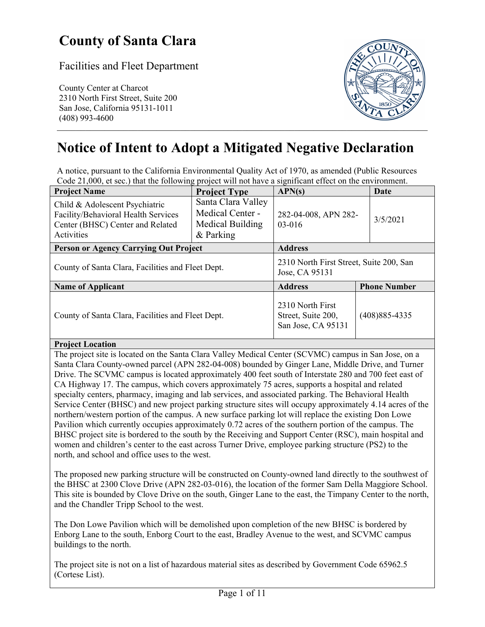# **County of Santa Clara**

Facilities and Fleet Department

County Center at Charcot 2310 North First Street, Suite 200 San Jose, California 95131-1011



# **Notice of Intent to Adopt a Mitigated Negative Declaration**

A notice, pursuant to the California Environmental Quality Act of 1970, as amended (Public Resources Code 21,000, et sec.) that the following project will not have a significant effect on the environment.

| <b>Project Name</b>                                                                                                     | <b>Project Type</b>                                                     | APN(s)                                                       | Date                |  |
|-------------------------------------------------------------------------------------------------------------------------|-------------------------------------------------------------------------|--------------------------------------------------------------|---------------------|--|
| Child & Adolescent Psychiatric<br>Facility/Behavioral Health Services<br>Center (BHSC) Center and Related<br>Activities | Santa Clara Valley<br>Medical Center -<br>Medical Building<br>& Parking | 282-04-008, APN 282-<br>$03-016$                             | 3/5/2021            |  |
| <b>Person or Agency Carrying Out Project</b>                                                                            |                                                                         | <b>Address</b>                                               |                     |  |
| County of Santa Clara, Facilities and Fleet Dept.                                                                       |                                                                         | 2310 North First Street, Suite 200, San<br>Jose, CA 95131    |                     |  |
| <b>Name of Applicant</b>                                                                                                |                                                                         | <b>Address</b>                                               | <b>Phone Number</b> |  |
| County of Santa Clara, Facilities and Fleet Dept.                                                                       |                                                                         | 2310 North First<br>Street, Suite 200,<br>San Jose, CA 95131 | $(408)885 - 4335$   |  |

#### **Project Location**

The project site is located on the Santa Clara Valley Medical Center (SCVMC) campus in San Jose, on a Santa Clara County-owned parcel (APN 282-04-008) bounded by Ginger Lane, Middle Drive, and Turner Drive. The SCVMC campus is located approximately 400 feet south of Interstate 280 and 700 feet east of CA Highway 17. The campus, which covers approximately 75 acres, supports a hospital and related specialty centers, pharmacy, imaging and lab services, and associated parking. The Behavioral Health Service Center (BHSC) and new project parking structure sites will occupy approximately 4.14 acres of the northern/western portion of the campus. A new surface parking lot will replace the existing Don Lowe Pavilion which currently occupies approximately 0.72 acres of the southern portion of the campus. The BHSC project site is bordered to the south by the Receiving and Support Center (RSC), main hospital and women and children's center to the east across Turner Drive, employee parking structure (PS2) to the north, and school and office uses to the west.

The proposed new parking structure will be constructed on County-owned land directly to the southwest of the BHSC at 2300 Clove Drive (APN 282-03-016), the location of the former Sam Della Maggiore School. This site is bounded by Clove Drive on the south, Ginger Lane to the east, the Timpany Center to the north, and the Chandler Tripp School to the west.

The Don Lowe Pavilion which will be demolished upon completion of the new BHSC is bordered by Enborg Lane to the south, Enborg Court to the east, Bradley Avenue to the west, and SCVMC campus buildings to the north.

The project site is not on a list of hazardous material sites as described by Government Code 65962.5 (Cortese List).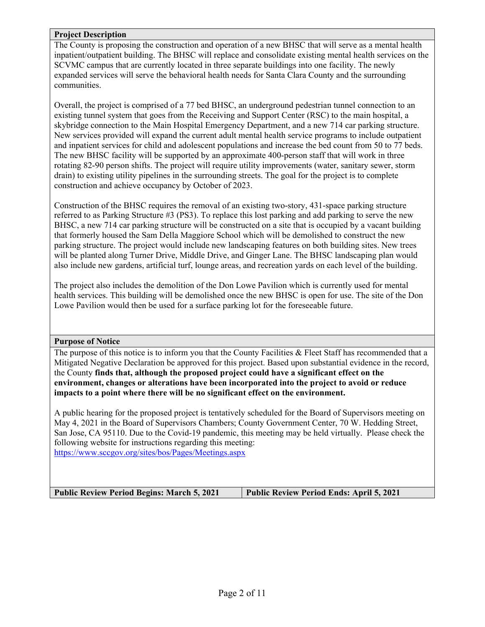#### **Project Description**

The County is proposing the construction and operation of a new BHSC that will serve as a mental health inpatient/outpatient building. The BHSC will replace and consolidate existing mental health services on the SCVMC campus that are currently located in three separate buildings into one facility. The newly expanded services will serve the behavioral health needs for Santa Clara County and the surrounding communities.

Overall, the project is comprised of a 77 bed BHSC, an underground pedestrian tunnel connection to an existing tunnel system that goes from the Receiving and Support Center (RSC) to the main hospital, a skybridge connection to the Main Hospital Emergency Department, and a new 714 car parking structure. New services provided will expand the current adult mental health service programs to include outpatient and inpatient services for child and adolescent populations and increase the bed count from 50 to 77 beds. The new BHSC facility will be supported by an approximate 400-person staff that will work in three rotating 82-90 person shifts. The project will require utility improvements (water, sanitary sewer, storm drain) to existing utility pipelines in the surrounding streets. The goal for the project is to complete construction and achieve occupancy by October of 2023.

Construction of the BHSC requires the removal of an existing two-story, 431-space parking structure referred to as Parking Structure #3 (PS3). To replace this lost parking and add parking to serve the new BHSC, a new 714 car parking structure will be constructed on a site that is occupied by a vacant building that formerly housed the Sam Della Maggiore School which will be demolished to construct the new parking structure. The project would include new landscaping features on both building sites. New trees will be planted along Turner Drive, Middle Drive, and Ginger Lane. The BHSC landscaping plan would also include new gardens, artificial turf, lounge areas, and recreation yards on each level of the building.

The project also includes the demolition of the Don Lowe Pavilion which is currently used for mental health services. This building will be demolished once the new BHSC is open for use. The site of the Don Lowe Pavilion would then be used for a surface parking lot for the foreseeable future.

#### **Purpose of Notice**

The purpose of this notice is to inform you that the County Facilities & Fleet Staff has recommended that a Mitigated Negative Declaration be approved for this project. Based upon substantial evidence in the record, the County **finds that, although the proposed project could have a significant effect on the environment, changes or alterations have been incorporated into the project to avoid or reduce impacts to a point where there will be no significant effect on the environment.**

A public hearing for the proposed project is tentatively scheduled for the Board of Supervisors meeting on May 4, 2021 in the Board of Supervisors Chambers; County Government Center, 70 W. Hedding Street, San Jose, CA 95110. Due to the Covid-19 pandemic, this meeting may be held virtually. Please check the following website for instructions regarding this meeting: https://www.sccgov.org/sites/bos/Pages/Meetings.aspx

**Public Review Period Begins: March 5, 2021 Public Review Period Ends: April 5, 2021**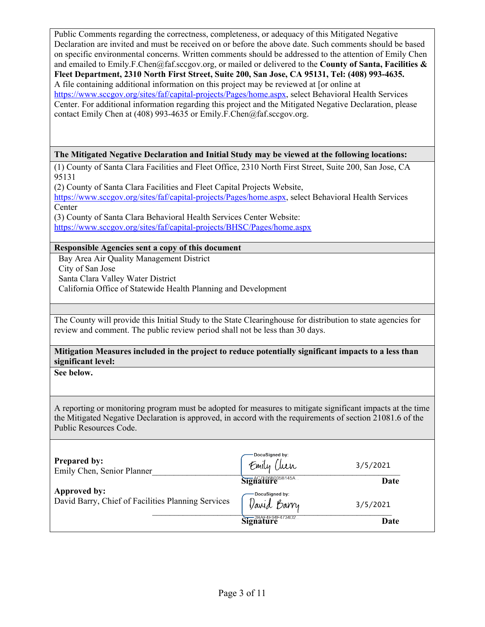Public Comments regarding the correctness, completeness, or adequacy of this Mitigated Negative Declaration are invited and must be received on or before the above date. Such comments should be based on specific environmental concerns. Written comments should be addressed to the attention of Emily Chen and emailed to Emily.F.Chen@faf.sccgov.org, or mailed or delivered to the **County of Santa, Facilities & Fleet Department, 2310 North First Street, Suite 200, San Jose, CA 95131, Tel: (408) 993-4635.**  A file containing additional information on this project may be reviewed at [or online at https://www.sccgov.org/sites/faf/capital-projects/Pages/home.aspx, select Behavioral Health Services Center. For additional information regarding this project and the Mitigated Negative Declaration, please contact Emily Chen at (408) 993-4635 or Emily.F.Chen@faf.sccgov.org.

**The Mitigated Negative Declaration and Initial Study may be viewed at the following locations:** 

(1) County of Santa Clara Facilities and Fleet Office, 2310 North First Street, Suite 200, San Jose, CA 95131

(2) County of Santa Clara Facilities and Fleet Capital Projects Website, https://www.sccgov.org/sites/faf/capital-projects/Pages/home.aspx, select Behavioral Health Services **Center** (3) County of Santa Clara Behavioral Health Services Center Website:

https://www.sccgov.org/sites/faf/capital-projects/BHSC/Pages/home.aspx

#### **Responsible Agencies sent a copy of this document**

Bay Area Air Quality Management District City of San Jose Santa Clara Valley Water District California Office of Statewide Health Planning and Development

The County will provide this Initial Study to the State Clearinghouse for distribution to state agencies for review and comment. The public review period shall not be less than 30 days.

**Mitigation Measures included in the project to reduce potentially significant impacts to a less than significant level:** 

**See below.** 

A reporting or monitoring program must be adopted for measures to mitigate significant impacts at the time the Mitigated Negative Declaration is approved, in accord with the requirements of section 21081.6 of the Public Resources Code.

| <b>Prepared by:</b><br>Emily Chen, Senior Planner                  | -DocuSigned by:<br>Emily Chen | 3/5/2021 |
|--------------------------------------------------------------------|-------------------------------|----------|
|                                                                    | Signature                     | Date     |
| Approved by:<br>David Barry, Chief of Facilities Planning Services | DocuSigned by:<br>Varid Barry | 3/5/2021 |
|                                                                    | Signature                     | Date     |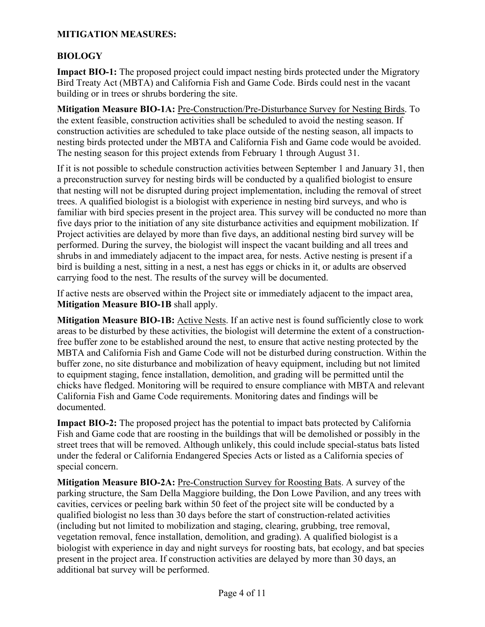### **MITIGATION MEASURES:**

### **BIOLOGY**

**Impact BIO-1:** The proposed project could impact nesting birds protected under the Migratory Bird Treaty Act (MBTA) and California Fish and Game Code. Birds could nest in the vacant building or in trees or shrubs bordering the site.

**Mitigation Measure BIO-1A:** Pre-Construction/Pre-Disturbance Survey for Nesting Birds. To the extent feasible, construction activities shall be scheduled to avoid the nesting season. If construction activities are scheduled to take place outside of the nesting season, all impacts to nesting birds protected under the MBTA and California Fish and Game code would be avoided. The nesting season for this project extends from February 1 through August 31.

If it is not possible to schedule construction activities between September 1 and January 31, then a preconstruction survey for nesting birds will be conducted by a qualified biologist to ensure that nesting will not be disrupted during project implementation, including the removal of street trees. A qualified biologist is a biologist with experience in nesting bird surveys, and who is familiar with bird species present in the project area. This survey will be conducted no more than five days prior to the initiation of any site disturbance activities and equipment mobilization. If Project activities are delayed by more than five days, an additional nesting bird survey will be performed. During the survey, the biologist will inspect the vacant building and all trees and shrubs in and immediately adjacent to the impact area, for nests. Active nesting is present if a bird is building a nest, sitting in a nest, a nest has eggs or chicks in it, or adults are observed carrying food to the nest. The results of the survey will be documented.

If active nests are observed within the Project site or immediately adjacent to the impact area, **Mitigation Measure BIO-1B** shall apply.

**Mitigation Measure BIO-1B:** Active Nests. If an active nest is found sufficiently close to work areas to be disturbed by these activities, the biologist will determine the extent of a constructionfree buffer zone to be established around the nest, to ensure that active nesting protected by the MBTA and California Fish and Game Code will not be disturbed during construction. Within the buffer zone, no site disturbance and mobilization of heavy equipment, including but not limited to equipment staging, fence installation, demolition, and grading will be permitted until the chicks have fledged. Monitoring will be required to ensure compliance with MBTA and relevant California Fish and Game Code requirements. Monitoring dates and findings will be documented.

**Impact BIO-2:** The proposed project has the potential to impact bats protected by California Fish and Game code that are roosting in the buildings that will be demolished or possibly in the street trees that will be removed. Although unlikely, this could include special-status bats listed under the federal or California Endangered Species Acts or listed as a California species of special concern.

**Mitigation Measure BIO-2A:** Pre-Construction Survey for Roosting Bats. A survey of the parking structure, the Sam Della Maggiore building, the Don Lowe Pavilion, and any trees with cavities, cervices or peeling bark within 50 feet of the project site will be conducted by a qualified biologist no less than 30 days before the start of construction-related activities (including but not limited to mobilization and staging, clearing, grubbing, tree removal, vegetation removal, fence installation, demolition, and grading). A qualified biologist is a biologist with experience in day and night surveys for roosting bats, bat ecology, and bat species present in the project area. If construction activities are delayed by more than 30 days, an additional bat survey will be performed.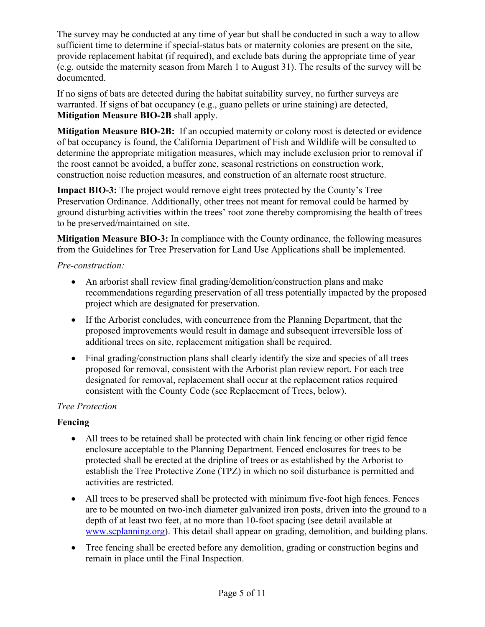The survey may be conducted at any time of year but shall be conducted in such a way to allow sufficient time to determine if special-status bats or maternity colonies are present on the site, provide replacement habitat (if required), and exclude bats during the appropriate time of year (e.g. outside the maternity season from March 1 to August 31). The results of the survey will be documented.

If no signs of bats are detected during the habitat suitability survey, no further surveys are warranted. If signs of bat occupancy (e.g., guano pellets or urine staining) are detected, **Mitigation Measure BIO-2B** shall apply.

**Mitigation Measure BIO-2B:** If an occupied maternity or colony roost is detected or evidence of bat occupancy is found, the California Department of Fish and Wildlife will be consulted to determine the appropriate mitigation measures, which may include exclusion prior to removal if the roost cannot be avoided, a buffer zone, seasonal restrictions on construction work, construction noise reduction measures, and construction of an alternate roost structure.

**Impact BIO-3:** The project would remove eight trees protected by the County's Tree Preservation Ordinance. Additionally, other trees not meant for removal could be harmed by ground disturbing activities within the trees' root zone thereby compromising the health of trees to be preserved/maintained on site.

**Mitigation Measure BIO-3:** In compliance with the County ordinance, the following measures from the Guidelines for Tree Preservation for Land Use Applications shall be implemented.

*Pre-construction:* 

- An arborist shall review final grading/demolition/construction plans and make recommendations regarding preservation of all tress potentially impacted by the proposed project which are designated for preservation.
- If the Arborist concludes, with concurrence from the Planning Department, that the proposed improvements would result in damage and subsequent irreversible loss of additional trees on site, replacement mitigation shall be required.
- Final grading/construction plans shall clearly identify the size and species of all trees proposed for removal, consistent with the Arborist plan review report. For each tree designated for removal, replacement shall occur at the replacement ratios required consistent with the County Code (see Replacement of Trees, below).

# *Tree Protection*

## **Fencing**

- All trees to be retained shall be protected with chain link fencing or other rigid fence enclosure acceptable to the Planning Department. Fenced enclosures for trees to be protected shall be erected at the dripline of trees or as established by the Arborist to establish the Tree Protective Zone (TPZ) in which no soil disturbance is permitted and activities are restricted.
- All trees to be preserved shall be protected with minimum five-foot high fences. Fences are to be mounted on two-inch diameter galvanized iron posts, driven into the ground to a depth of at least two feet, at no more than 10-foot spacing (see detail available at www.scplanning.org). This detail shall appear on grading, demolition, and building plans.
- Tree fencing shall be erected before any demolition, grading or construction begins and remain in place until the Final Inspection.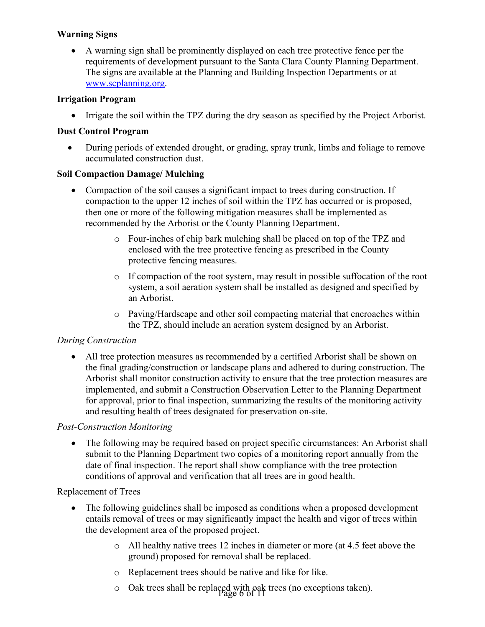### **Warning Signs**

 A warning sign shall be prominently displayed on each tree protective fence per the requirements of development pursuant to the Santa Clara County Planning Department. The signs are available at the Planning and Building Inspection Departments or at www.scplanning.org.

#### **Irrigation Program**

Irrigate the soil within the TPZ during the dry season as specified by the Project Arborist.

#### **Dust Control Program**

 During periods of extended drought, or grading, spray trunk, limbs and foliage to remove accumulated construction dust.

### **Soil Compaction Damage/ Mulching**

- Compaction of the soil causes a significant impact to trees during construction. If compaction to the upper 12 inches of soil within the TPZ has occurred or is proposed, then one or more of the following mitigation measures shall be implemented as recommended by the Arborist or the County Planning Department.
	- o Four-inches of chip bark mulching shall be placed on top of the TPZ and enclosed with the tree protective fencing as prescribed in the County protective fencing measures.
	- o If compaction of the root system, may result in possible suffocation of the root system, a soil aeration system shall be installed as designed and specified by an Arborist.
	- o Paving/Hardscape and other soil compacting material that encroaches within the TPZ, should include an aeration system designed by an Arborist.

## *During Construction*

 All tree protection measures as recommended by a certified Arborist shall be shown on the final grading/construction or landscape plans and adhered to during construction. The Arborist shall monitor construction activity to ensure that the tree protection measures are implemented, and submit a Construction Observation Letter to the Planning Department for approval, prior to final inspection, summarizing the results of the monitoring activity and resulting health of trees designated for preservation on-site.

#### *Post-Construction Monitoring*

• The following may be required based on project specific circumstances: An Arborist shall submit to the Planning Department two copies of a monitoring report annually from the date of final inspection. The report shall show compliance with the tree protection conditions of approval and verification that all trees are in good health.

#### Replacement of Trees

- The following guidelines shall be imposed as conditions when a proposed development entails removal of trees or may significantly impact the health and vigor of trees within the development area of the proposed project.
	- o All healthy native trees 12 inches in diameter or more (at 4.5 feet above the ground) proposed for removal shall be replaced.
	- o Replacement trees should be native and like for like.
	- Page 6 of 11 o Oak trees shall be replaced with oak trees (no exceptions taken).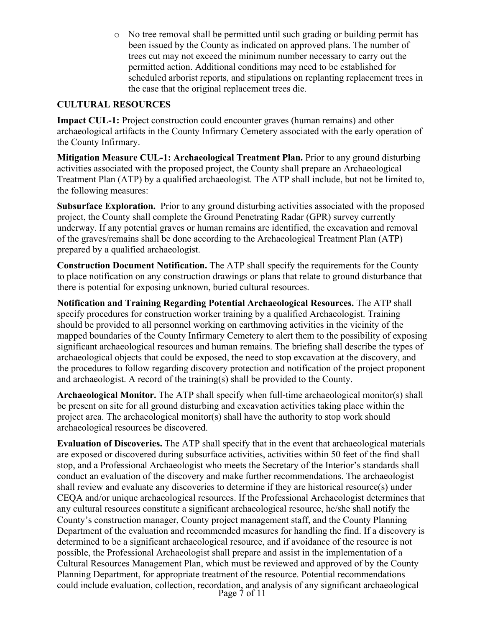o No tree removal shall be permitted until such grading or building permit has been issued by the County as indicated on approved plans. The number of trees cut may not exceed the minimum number necessary to carry out the permitted action. Additional conditions may need to be established for scheduled arborist reports, and stipulations on replanting replacement trees in the case that the original replacement trees die.

#### **CULTURAL RESOURCES**

**Impact CUL-1:** Project construction could encounter graves (human remains) and other archaeological artifacts in the County Infirmary Cemetery associated with the early operation of the County Infirmary.

**Mitigation Measure CUL-1: Archaeological Treatment Plan.** Prior to any ground disturbing activities associated with the proposed project, the County shall prepare an Archaeological Treatment Plan (ATP) by a qualified archaeologist. The ATP shall include, but not be limited to, the following measures:

**Subsurface Exploration.** Prior to any ground disturbing activities associated with the proposed project, the County shall complete the Ground Penetrating Radar (GPR) survey currently underway. If any potential graves or human remains are identified, the excavation and removal of the graves/remains shall be done according to the Archaeological Treatment Plan (ATP) prepared by a qualified archaeologist.

**Construction Document Notification.** The ATP shall specify the requirements for the County to place notification on any construction drawings or plans that relate to ground disturbance that there is potential for exposing unknown, buried cultural resources.

**Notification and Training Regarding Potential Archaeological Resources.** The ATP shall specify procedures for construction worker training by a qualified Archaeologist. Training should be provided to all personnel working on earthmoving activities in the vicinity of the mapped boundaries of the County Infirmary Cemetery to alert them to the possibility of exposing significant archaeological resources and human remains. The briefing shall describe the types of archaeological objects that could be exposed, the need to stop excavation at the discovery, and the procedures to follow regarding discovery protection and notification of the project proponent and archaeologist. A record of the training(s) shall be provided to the County.

**Archaeological Monitor.** The ATP shall specify when full-time archaeological monitor(s) shall be present on site for all ground disturbing and excavation activities taking place within the project area. The archaeological monitor(s) shall have the authority to stop work should archaeological resources be discovered.

Page 7 of 11 **Evaluation of Discoveries.** The ATP shall specify that in the event that archaeological materials are exposed or discovered during subsurface activities, activities within 50 feet of the find shall stop, and a Professional Archaeologist who meets the Secretary of the Interior's standards shall conduct an evaluation of the discovery and make further recommendations. The archaeologist shall review and evaluate any discoveries to determine if they are historical resource(s) under CEQA and/or unique archaeological resources. If the Professional Archaeologist determines that any cultural resources constitute a significant archaeological resource, he/she shall notify the County's construction manager, County project management staff, and the County Planning Department of the evaluation and recommended measures for handling the find. If a discovery is determined to be a significant archaeological resource, and if avoidance of the resource is not possible, the Professional Archaeologist shall prepare and assist in the implementation of a Cultural Resources Management Plan, which must be reviewed and approved of by the County Planning Department, for appropriate treatment of the resource. Potential recommendations could include evaluation, collection, recordation, and analysis of any significant archaeological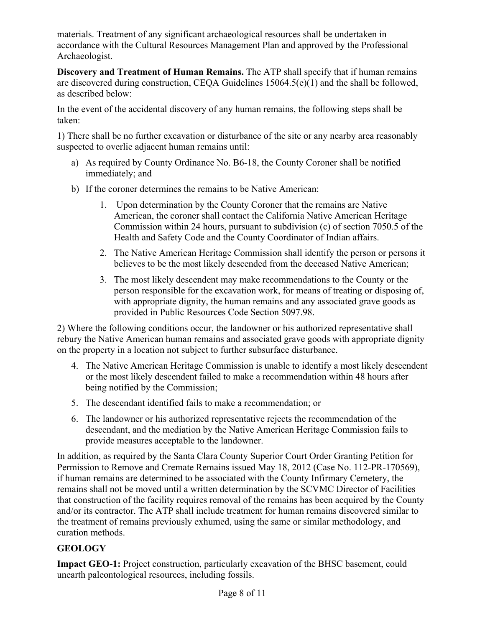materials. Treatment of any significant archaeological resources shall be undertaken in accordance with the Cultural Resources Management Plan and approved by the Professional Archaeologist.

**Discovery and Treatment of Human Remains.** The ATP shall specify that if human remains are discovered during construction, CEQA Guidelines 15064.5(e)(1) and the shall be followed, as described below:

In the event of the accidental discovery of any human remains, the following steps shall be taken:

1) There shall be no further excavation or disturbance of the site or any nearby area reasonably suspected to overlie adjacent human remains until:

- a) As required by County Ordinance No. B6-18, the County Coroner shall be notified immediately; and
- b) If the coroner determines the remains to be Native American:
	- 1. Upon determination by the County Coroner that the remains are Native American, the coroner shall contact the California Native American Heritage Commission within 24 hours, pursuant to subdivision (c) of section 7050.5 of the Health and Safety Code and the County Coordinator of Indian affairs.
	- 2. The Native American Heritage Commission shall identify the person or persons it believes to be the most likely descended from the deceased Native American;
	- 3. The most likely descendent may make recommendations to the County or the person responsible for the excavation work, for means of treating or disposing of, with appropriate dignity, the human remains and any associated grave goods as provided in Public Resources Code Section 5097.98.

2) Where the following conditions occur, the landowner or his authorized representative shall rebury the Native American human remains and associated grave goods with appropriate dignity on the property in a location not subject to further subsurface disturbance.

- 4. The Native American Heritage Commission is unable to identify a most likely descendent or the most likely descendent failed to make a recommendation within 48 hours after being notified by the Commission;
- 5. The descendant identified fails to make a recommendation; or
- 6. The landowner or his authorized representative rejects the recommendation of the descendant, and the mediation by the Native American Heritage Commission fails to provide measures acceptable to the landowner.

In addition, as required by the Santa Clara County Superior Court Order Granting Petition for Permission to Remove and Cremate Remains issued May 18, 2012 (Case No. 112-PR-170569), if human remains are determined to be associated with the County Infirmary Cemetery, the remains shall not be moved until a written determination by the SCVMC Director of Facilities that construction of the facility requires removal of the remains has been acquired by the County and/or its contractor. The ATP shall include treatment for human remains discovered similar to the treatment of remains previously exhumed, using the same or similar methodology, and curation methods.

# **GEOLOGY**

**Impact GEO-1:** Project construction, particularly excavation of the BHSC basement, could unearth paleontological resources, including fossils.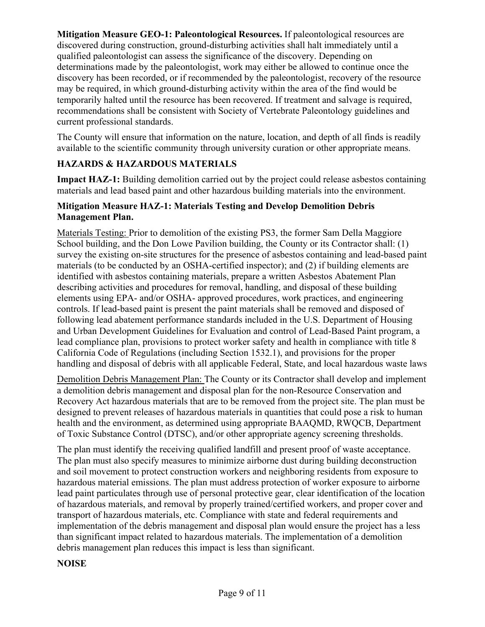**Mitigation Measure GEO-1: Paleontological Resources.** If paleontological resources are discovered during construction, ground-disturbing activities shall halt immediately until a qualified paleontologist can assess the significance of the discovery. Depending on determinations made by the paleontologist, work may either be allowed to continue once the discovery has been recorded, or if recommended by the paleontologist, recovery of the resource may be required, in which ground-disturbing activity within the area of the find would be temporarily halted until the resource has been recovered. If treatment and salvage is required, recommendations shall be consistent with Society of Vertebrate Paleontology guidelines and current professional standards.

The County will ensure that information on the nature, location, and depth of all finds is readily available to the scientific community through university curation or other appropriate means.

## **HAZARDS & HAZARDOUS MATERIALS**

**Impact HAZ-1:** Building demolition carried out by the project could release asbestos containing materials and lead based paint and other hazardous building materials into the environment.

#### **Mitigation Measure HAZ-1: Materials Testing and Develop Demolition Debris Management Plan.**

Materials Testing: Prior to demolition of the existing PS3, the former Sam Della Maggiore School building, and the Don Lowe Pavilion building, the County or its Contractor shall: (1) survey the existing on-site structures for the presence of asbestos containing and lead-based paint materials (to be conducted by an OSHA-certified inspector); and (2) if building elements are identified with asbestos containing materials, prepare a written Asbestos Abatement Plan describing activities and procedures for removal, handling, and disposal of these building elements using EPA- and/or OSHA- approved procedures, work practices, and engineering controls. If lead-based paint is present the paint materials shall be removed and disposed of following lead abatement performance standards included in the U.S. Department of Housing and Urban Development Guidelines for Evaluation and control of Lead-Based Paint program, a lead compliance plan, provisions to protect worker safety and health in compliance with title 8 California Code of Regulations (including Section 1532.1), and provisions for the proper handling and disposal of debris with all applicable Federal, State, and local hazardous waste laws

Demolition Debris Management Plan: The County or its Contractor shall develop and implement a demolition debris management and disposal plan for the non-Resource Conservation and Recovery Act hazardous materials that are to be removed from the project site. The plan must be designed to prevent releases of hazardous materials in quantities that could pose a risk to human health and the environment, as determined using appropriate BAAQMD, RWQCB, Department of Toxic Substance Control (DTSC), and/or other appropriate agency screening thresholds.

The plan must identify the receiving qualified landfill and present proof of waste acceptance. The plan must also specify measures to minimize airborne dust during building deconstruction and soil movement to protect construction workers and neighboring residents from exposure to hazardous material emissions. The plan must address protection of worker exposure to airborne lead paint particulates through use of personal protective gear, clear identification of the location of hazardous materials, and removal by properly trained/certified workers, and proper cover and transport of hazardous materials, etc. Compliance with state and federal requirements and implementation of the debris management and disposal plan would ensure the project has a less than significant impact related to hazardous materials. The implementation of a demolition debris management plan reduces this impact is less than significant.

#### **NOISE**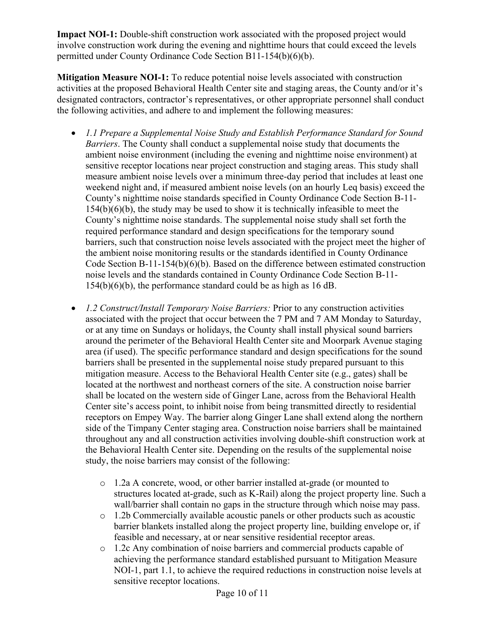**Impact NOI-1:** Double-shift construction work associated with the proposed project would involve construction work during the evening and nighttime hours that could exceed the levels permitted under County Ordinance Code Section B11-154(b)(6)(b).

**Mitigation Measure NOI-1:** To reduce potential noise levels associated with construction activities at the proposed Behavioral Health Center site and staging areas, the County and/or it's designated contractors, contractor's representatives, or other appropriate personnel shall conduct the following activities, and adhere to and implement the following measures:

- *1.1 Prepare a Supplemental Noise Study and Establish Performance Standard for Sound Barriers*. The County shall conduct a supplemental noise study that documents the ambient noise environment (including the evening and nighttime noise environment) at sensitive receptor locations near project construction and staging areas. This study shall measure ambient noise levels over a minimum three-day period that includes at least one weekend night and, if measured ambient noise levels (on an hourly Leq basis) exceed the County's nighttime noise standards specified in County Ordinance Code Section B-11-  $154(b)(6)(b)$ , the study may be used to show it is technically infeasible to meet the County's nighttime noise standards. The supplemental noise study shall set forth the required performance standard and design specifications for the temporary sound barriers, such that construction noise levels associated with the project meet the higher of the ambient noise monitoring results or the standards identified in County Ordinance Code Section B-11-154(b)(6)(b). Based on the difference between estimated construction noise levels and the standards contained in County Ordinance Code Section B-11- 154(b)(6)(b), the performance standard could be as high as 16 dB.
- *1.2 Construct/Install Temporary Noise Barriers:* Prior to any construction activities associated with the project that occur between the 7 PM and 7 AM Monday to Saturday, or at any time on Sundays or holidays, the County shall install physical sound barriers around the perimeter of the Behavioral Health Center site and Moorpark Avenue staging area (if used). The specific performance standard and design specifications for the sound barriers shall be presented in the supplemental noise study prepared pursuant to this mitigation measure. Access to the Behavioral Health Center site (e.g., gates) shall be located at the northwest and northeast corners of the site. A construction noise barrier shall be located on the western side of Ginger Lane, across from the Behavioral Health Center site's access point, to inhibit noise from being transmitted directly to residential receptors on Empey Way. The barrier along Ginger Lane shall extend along the northern side of the Timpany Center staging area. Construction noise barriers shall be maintained throughout any and all construction activities involving double-shift construction work at the Behavioral Health Center site. Depending on the results of the supplemental noise study, the noise barriers may consist of the following:
	- o 1.2a A concrete, wood, or other barrier installed at-grade (or mounted to structures located at-grade, such as K-Rail) along the project property line. Such a wall/barrier shall contain no gaps in the structure through which noise may pass.
	- o 1.2b Commercially available acoustic panels or other products such as acoustic barrier blankets installed along the project property line, building envelope or, if feasible and necessary, at or near sensitive residential receptor areas.
	- o 1.2c Any combination of noise barriers and commercial products capable of achieving the performance standard established pursuant to Mitigation Measure NOI-1, part 1.1, to achieve the required reductions in construction noise levels at sensitive receptor locations.